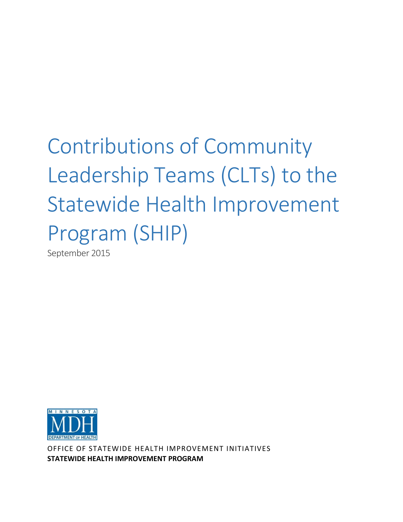# Contributions of Community Leadership Teams (CLTs) to the Statewide Health Improvement Program (SHIP)

September 2015



OFFICE OF STATEWIDE HEALTH IMPROVEMENT INITIATIVES **STATEWIDE HEALTH IMPROVEMENT PROGRAM**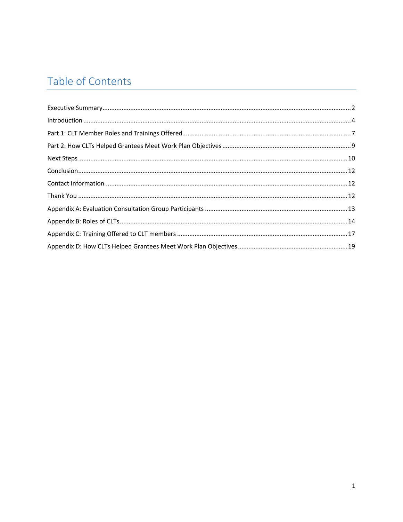# Table of Contents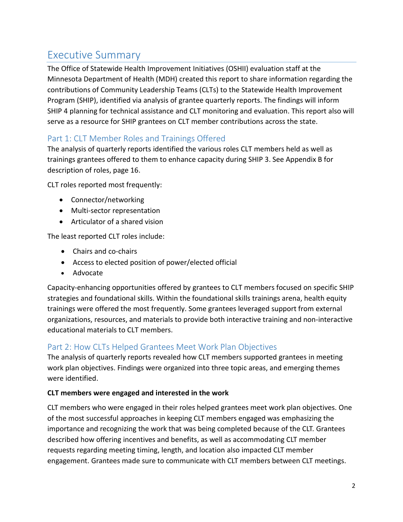# <span id="page-2-0"></span>Executive Summary

The Office of Statewide Health Improvement Initiatives (OSHII) evaluation staff at the Minnesota Department of Health (MDH) created this report to share information regarding the contributions of Community Leadership Teams (CLTs) to the Statewide Health Improvement Program (SHIP), identified via analysis of grantee quarterly reports. The findings will inform SHIP 4 planning for technical assistance and CLT monitoring and evaluation. This report also will serve as a resource for SHIP grantees on CLT member contributions across the state.

### Part 1: CLT Member Roles and Trainings Offered

The analysis of quarterly reports identified the various roles CLT members held as well as trainings grantees offered to them to enhance capacity during SHIP 3. See Appendix B for description of roles, page 16.

CLT roles reported most frequently:

- Connector/networking
- Multi-sector representation
- Articulator of a shared vision

The least reported CLT roles include:

- Chairs and co-chairs
- Access to elected position of power/elected official
- Advocate

Capacity-enhancing opportunities offered by grantees to CLT members focused on specific SHIP strategies and foundational skills. Within the foundational skills trainings arena, health equity trainings were offered the most frequently. Some grantees leveraged support from external organizations, resources, and materials to provide both interactive training and non-interactive educational materials to CLT members.

### Part 2: How CLTs Helped Grantees Meet Work Plan Objectives

The analysis of quarterly reports revealed how CLT members supported grantees in meeting work plan objectives. Findings were organized into three topic areas, and emerging themes were identified.

#### **CLT members were engaged and interested in the work**

CLT members who were engaged in their roles helped grantees meet work plan objectives. One of the most successful approaches in keeping CLT members engaged was emphasizing the importance and recognizing the work that was being completed because of the CLT. Grantees described how offering incentives and benefits, as well as accommodating CLT member requests regarding meeting timing, length, and location also impacted CLT member engagement. Grantees made sure to communicate with CLT members between CLT meetings.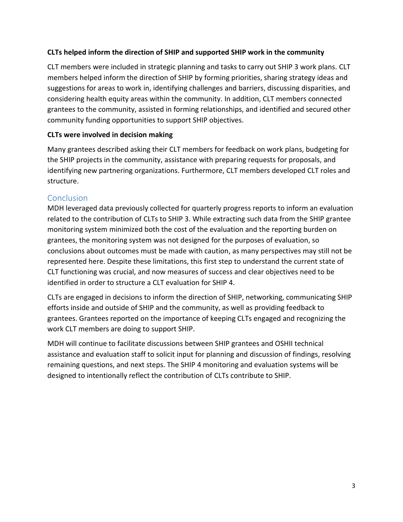#### **CLTs helped inform the direction of SHIP and supported SHIP work in the community**

CLT members were included in strategic planning and tasks to carry out SHIP 3 work plans. CLT members helped inform the direction of SHIP by forming priorities, sharing strategy ideas and suggestions for areas to work in, identifying challenges and barriers, discussing disparities, and considering health equity areas within the community. In addition, CLT members connected grantees to the community, assisted in forming relationships, and identified and secured other community funding opportunities to support SHIP objectives.

#### **CLTs were involved in decision making**

Many grantees described asking their CLT members for feedback on work plans, budgeting for the SHIP projects in the community, assistance with preparing requests for proposals, and identifying new partnering organizations. Furthermore, CLT members developed CLT roles and structure.

#### **Conclusion**

MDH leveraged data previously collected for quarterly progress reports to inform an evaluation related to the contribution of CLTs to SHIP 3. While extracting such data from the SHIP grantee monitoring system minimized both the cost of the evaluation and the reporting burden on grantees, the monitoring system was not designed for the purposes of evaluation, so conclusions about outcomes must be made with caution, as many perspectives may still not be represented here. Despite these limitations, this first step to understand the current state of CLT functioning was crucial, and now measures of success and clear objectives need to be identified in order to structure a CLT evaluation for SHIP 4.

CLTs are engaged in decisions to inform the direction of SHIP, networking, communicating SHIP efforts inside and outside of SHIP and the community, as well as providing feedback to grantees. Grantees reported on the importance of keeping CLTs engaged and recognizing the work CLT members are doing to support SHIP.

MDH will continue to facilitate discussions between SHIP grantees and OSHII technical assistance and evaluation staff to solicit input for planning and discussion of findings, resolving remaining questions, and next steps. The SHIP 4 monitoring and evaluation systems will be designed to intentionally reflect the contribution of CLTs contribute to SHIP.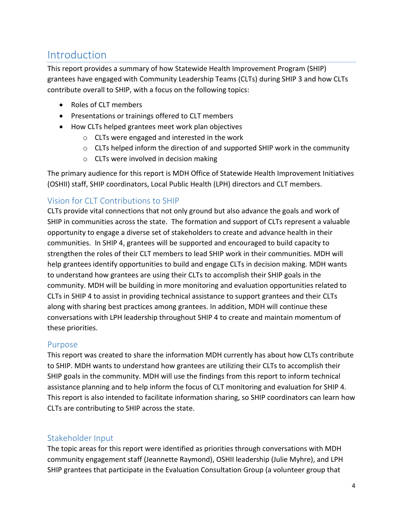# <span id="page-4-0"></span>Introduction

This report provides a summary of how Statewide Health Improvement Program (SHIP) grantees have engaged with Community Leadership Teams (CLTs) during SHIP 3 and how CLTs contribute overall to SHIP, with a focus on the following topics:

- Roles of CLT members
- Presentations or trainings offered to CLT members
- How CLTs helped grantees meet work plan objectives
	- o CLTs were engaged and interested in the work
	- o CLTs helped inform the direction of and supported SHIP work in the community
	- o CLTs were involved in decision making

The primary audience for this report is MDH Office of Statewide Health Improvement Initiatives (OSHII) staff, SHIP coordinators, Local Public Health (LPH) directors and CLT members.

# Vision for CLT Contributions to SHIP

CLTs provide vital connections that not only ground but also advance the goals and work of SHIP in communities across the state. The formation and support of CLTs represent a valuable opportunity to engage a diverse set of stakeholders to create and advance health in their communities. In SHIP 4, grantees will be supported and encouraged to build capacity to strengthen the roles of their CLT members to lead SHIP work in their communities. MDH will help grantees identify opportunities to build and engage CLTs in decision making. MDH wants to understand how grantees are using their CLTs to accomplish their SHIP goals in the community. MDH will be building in more monitoring and evaluation opportunities related to CLTs in SHIP 4 to assist in providing technical assistance to support grantees and their CLTs along with sharing best practices among grantees. In addition, MDH will continue these conversations with LPH leadership throughout SHIP 4 to create and maintain momentum of these priorities.

### Purpose

This report was created to share the information MDH currently has about how CLTs contribute to SHIP. MDH wants to understand how grantees are utilizing their CLTs to accomplish their SHIP goals in the community. MDH will use the findings from this report to inform technical assistance planning and to help inform the focus of CLT monitoring and evaluation for SHIP 4. This report is also intended to facilitate information sharing, so SHIP coordinators can learn how CLTs are contributing to SHIP across the state.

### Stakeholder Input

The topic areas for this report were identified as priorities through conversations with MDH community engagement staff (Jeannette Raymond), OSHII leadership (Julie Myhre), and LPH SHIP grantees that participate in the Evaluation Consultation Group (a volunteer group that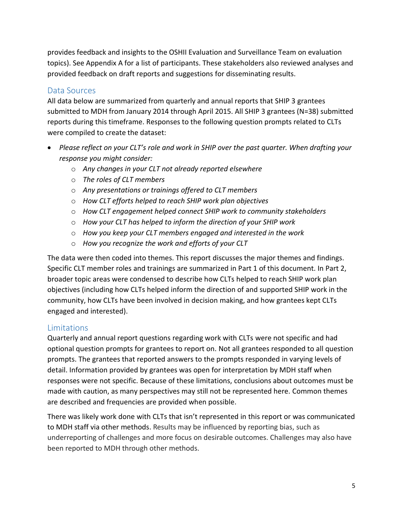provides feedback and insights to the OSHII Evaluation and Surveillance Team on evaluation topics). See Appendix A for a list of participants. These stakeholders also reviewed analyses and provided feedback on draft reports and suggestions for disseminating results.

### Data Sources

All data below are summarized from quarterly and annual reports that SHIP 3 grantees submitted to MDH from January 2014 through April 2015. All SHIP 3 grantees (N=38) submitted reports during this timeframe. Responses to the following question prompts related to CLTs were compiled to create the dataset:

- *Please reflect on your CLT's role and work in SHIP over the past quarter. When drafting your response you might consider:*
	- o *Any changes in your CLT not already reported elsewhere*
	- o *The roles of CLT members*
	- o *Any presentations or trainings offered to CLT members*
	- o *How CLT efforts helped to reach SHIP work plan objectives*
	- o *How CLT engagement helped connect SHIP work to community stakeholders*
	- o *How your CLT has helped to inform the direction of your SHIP work*
	- o *How you keep your CLT members engaged and interested in the work*
	- o *How you recognize the work and efforts of your CLT*

The data were then coded into themes. This report discusses the major themes and findings. Specific CLT member roles and trainings are summarized in Part 1 of this document. In Part 2, broader topic areas were condensed to describe how CLTs helped to reach SHIP work plan objectives (including how CLTs helped inform the direction of and supported SHIP work in the community, how CLTs have been involved in decision making, and how grantees kept CLTs engaged and interested).

### **Limitations**

Quarterly and annual report questions regarding work with CLTs were not specific and had optional question prompts for grantees to report on. Not all grantees responded to all question prompts. The grantees that reported answers to the prompts responded in varying levels of detail. Information provided by grantees was open for interpretation by MDH staff when responses were not specific. Because of these limitations, conclusions about outcomes must be made with caution, as many perspectives may still not be represented here. Common themes are described and frequencies are provided when possible.

There was likely work done with CLTs that isn't represented in this report or was communicated to MDH staff via other methods. Results may be influenced by reporting bias, such as underreporting of challenges and more focus on desirable outcomes. Challenges may also have been reported to MDH through other methods.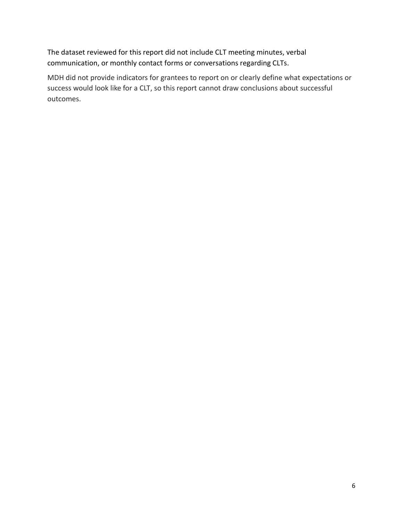The dataset reviewed for this report did not include CLT meeting minutes, verbal communication, or monthly contact forms or conversations regarding CLTs.

MDH did not provide indicators for grantees to report on or clearly define what expectations or success would look like for a CLT, so this report cannot draw conclusions about successful outcomes.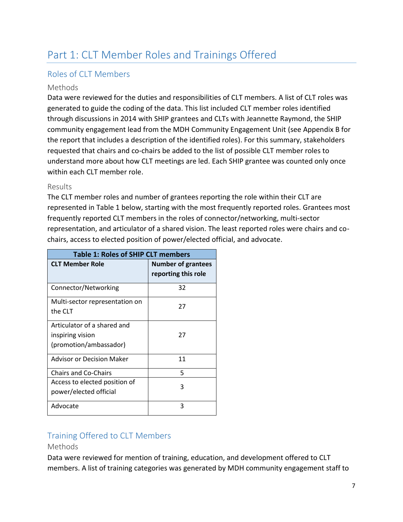# <span id="page-7-0"></span>Part 1: CLT Member Roles and Trainings Offered

#### Roles of CLT Members

#### Methods

Data were reviewed for the duties and responsibilities of CLT members. A list of CLT roles was generated to guide the coding of the data. This list included CLT member roles identified through discussions in 2014 with SHIP grantees and CLTs with Jeannette Raymond, the SHIP community engagement lead from the MDH Community Engagement Unit (see Appendix B for the report that includes a description of the identified roles). For this summary, stakeholders requested that chairs and co-chairs be added to the list of possible CLT member roles to understand more about how CLT meetings are led. Each SHIP grantee was counted only once within each CLT member role.

#### Results

The CLT member roles and number of grantees reporting the role within their CLT are represented in Table 1 below, starting with the most frequently reported roles. Grantees most frequently reported CLT members in the roles of connector/networking, multi-sector representation, and articulator of a shared vision. The least reported roles were chairs and cochairs, access to elected position of power/elected official, and advocate.

| <b>Table 1: Roles of SHIP CLT members</b>                                 |                                                  |  |
|---------------------------------------------------------------------------|--------------------------------------------------|--|
| <b>CLT Member Role</b>                                                    | <b>Number of grantees</b><br>reporting this role |  |
| Connector/Networking                                                      | 32                                               |  |
| Multi-sector representation on<br>the CLT                                 | 27                                               |  |
| Articulator of a shared and<br>inspiring vision<br>(promotion/ambassador) | 27                                               |  |
| Advisor or Decision Maker                                                 | 11                                               |  |
| <b>Chairs and Co-Chairs</b>                                               | 5                                                |  |
| Access to elected position of<br>power/elected official                   | 3                                                |  |
| Advocate                                                                  | ς                                                |  |

### Training Offered to CLT Members

#### Methods

Data were reviewed for mention of training, education, and development offered to CLT members. A list of training categories was generated by MDH community engagement staff to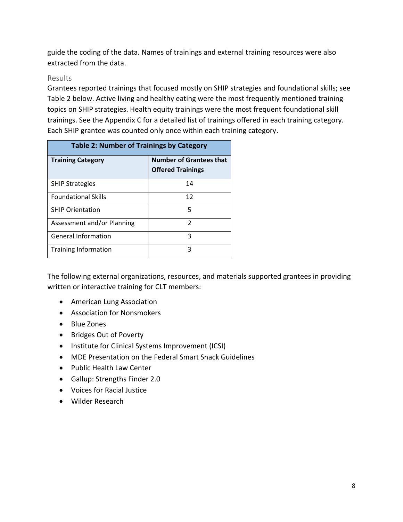guide the coding of the data. Names of trainings and external training resources were also extracted from the data.

#### Results

Grantees reported trainings that focused mostly on SHIP strategies and foundational skills; see Table 2 below. Active living and healthy eating were the most frequently mentioned training topics on SHIP strategies. Health equity trainings were the most frequent foundational skill trainings. See the Appendix C for a detailed list of trainings offered in each training category. Each SHIP grantee was counted only once within each training category.

| <b>Table 2: Number of Trainings by Category</b> |                                                            |
|-------------------------------------------------|------------------------------------------------------------|
| <b>Training Category</b>                        | <b>Number of Grantees that</b><br><b>Offered Trainings</b> |
| <b>SHIP Strategies</b>                          | 14                                                         |
| <b>Foundational Skills</b>                      | 12                                                         |
| <b>SHIP Orientation</b>                         | 5                                                          |
| Assessment and/or Planning                      | C                                                          |
| <b>General Information</b>                      | ς                                                          |
| <b>Training Information</b>                     | 3                                                          |

The following external organizations, resources, and materials supported grantees in providing written or interactive training for CLT members:

- American Lung Association
- Association for Nonsmokers
- Blue Zones
- Bridges Out of Poverty
- Institute for Clinical Systems Improvement (ICSI)
- MDE Presentation on the Federal Smart Snack Guidelines
- Public Health Law Center
- Gallup: Strengths Finder 2.0
- Voices for Racial Justice
- Wilder Research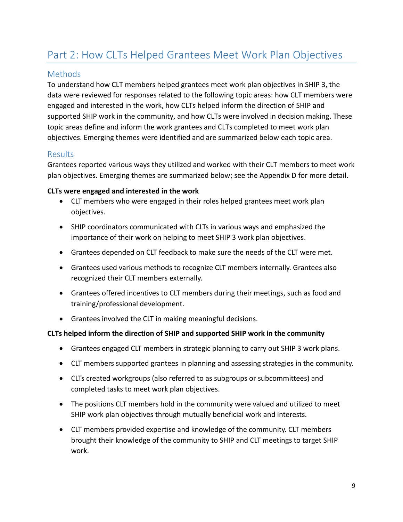# <span id="page-9-0"></span>Part 2: How CLTs Helped Grantees Meet Work Plan Objectives

#### Methods

To understand how CLT members helped grantees meet work plan objectives in SHIP 3, the data were reviewed for responses related to the following topic areas: how CLT members were engaged and interested in the work, how CLTs helped inform the direction of SHIP and supported SHIP work in the community, and how CLTs were involved in decision making. These topic areas define and inform the work grantees and CLTs completed to meet work plan objectives. Emerging themes were identified and are summarized below each topic area.

#### Results

Grantees reported various ways they utilized and worked with their CLT members to meet work plan objectives. Emerging themes are summarized below; see the Appendix D for more detail.

#### **CLTs were engaged and interested in the work**

- CLT members who were engaged in their roles helped grantees meet work plan objectives.
- SHIP coordinators communicated with CLTs in various ways and emphasized the importance of their work on helping to meet SHIP 3 work plan objectives.
- Grantees depended on CLT feedback to make sure the needs of the CLT were met.
- Grantees used various methods to recognize CLT members internally. Grantees also recognized their CLT members externally.
- Grantees offered incentives to CLT members during their meetings, such as food and training/professional development.
- Grantees involved the CLT in making meaningful decisions.

#### **CLTs helped inform the direction of SHIP and supported SHIP work in the community**

- Grantees engaged CLT members in strategic planning to carry out SHIP 3 work plans.
- CLT members supported grantees in planning and assessing strategies in the community.
- CLTs created workgroups (also referred to as subgroups or subcommittees) and completed tasks to meet work plan objectives.
- The positions CLT members hold in the community were valued and utilized to meet SHIP work plan objectives through mutually beneficial work and interests.
- CLT members provided expertise and knowledge of the community. CLT members brought their knowledge of the community to SHIP and CLT meetings to target SHIP work.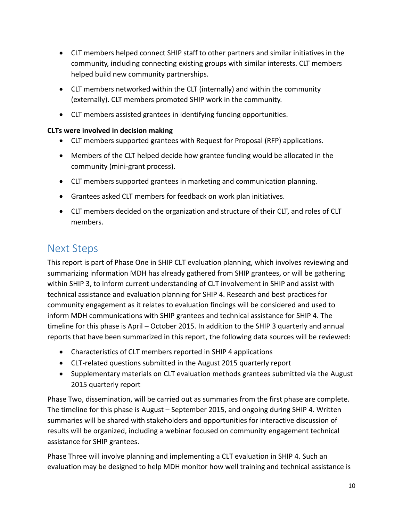- CLT members helped connect SHIP staff to other partners and similar initiatives in the community, including connecting existing groups with similar interests. CLT members helped build new community partnerships.
- CLT members networked within the CLT (internally) and within the community (externally). CLT members promoted SHIP work in the community.
- CLT members assisted grantees in identifying funding opportunities.

#### **CLTs were involved in decision making**

- CLT members supported grantees with Request for Proposal (RFP) applications.
- Members of the CLT helped decide how grantee funding would be allocated in the community (mini-grant process).
- CLT members supported grantees in marketing and communication planning.
- Grantees asked CLT members for feedback on work plan initiatives.
- CLT members decided on the organization and structure of their CLT, and roles of CLT members.

# <span id="page-10-0"></span>Next Steps

This report is part of Phase One in SHIP CLT evaluation planning, which involves reviewing and summarizing information MDH has already gathered from SHIP grantees, or will be gathering within SHIP 3, to inform current understanding of CLT involvement in SHIP and assist with technical assistance and evaluation planning for SHIP 4. Research and best practices for community engagement as it relates to evaluation findings will be considered and used to inform MDH communications with SHIP grantees and technical assistance for SHIP 4. The timeline for this phase is April – October 2015. In addition to the SHIP 3 quarterly and annual reports that have been summarized in this report, the following data sources will be reviewed:

- Characteristics of CLT members reported in SHIP 4 applications
- CLT-related questions submitted in the August 2015 quarterly report
- Supplementary materials on CLT evaluation methods grantees submitted via the August 2015 quarterly report

Phase Two, dissemination, will be carried out as summaries from the first phase are complete. The timeline for this phase is August – September 2015, and ongoing during SHIP 4. Written summaries will be shared with stakeholders and opportunities for interactive discussion of results will be organized, including a webinar focused on community engagement technical assistance for SHIP grantees.

Phase Three will involve planning and implementing a CLT evaluation in SHIP 4. Such an evaluation may be designed to help MDH monitor how well training and technical assistance is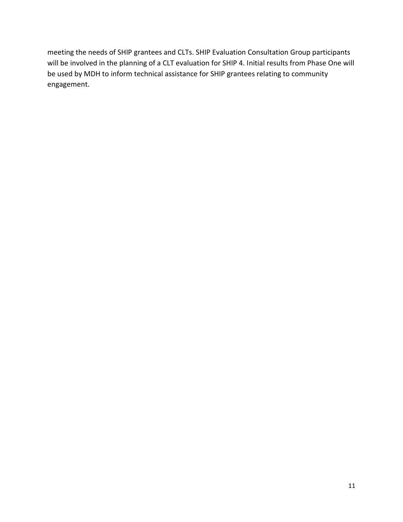meeting the needs of SHIP grantees and CLTs. SHIP Evaluation Consultation Group participants will be involved in the planning of a CLT evaluation for SHIP 4. Initial results from Phase One will be used by MDH to inform technical assistance for SHIP grantees relating to community engagement.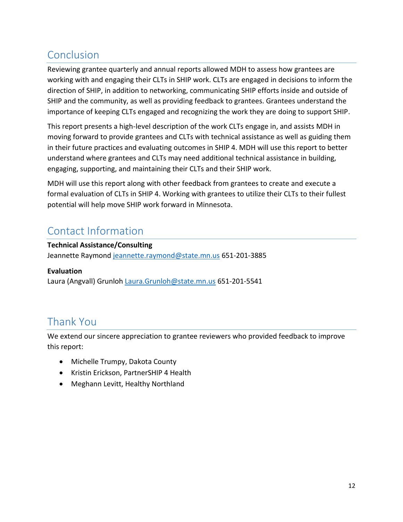# <span id="page-12-0"></span>Conclusion

Reviewing grantee quarterly and annual reports allowed MDH to assess how grantees are working with and engaging their CLTs in SHIP work. CLTs are engaged in decisions to inform the direction of SHIP, in addition to networking, communicating SHIP efforts inside and outside of SHIP and the community, as well as providing feedback to grantees. Grantees understand the importance of keeping CLTs engaged and recognizing the work they are doing to support SHIP.

This report presents a high-level description of the work CLTs engage in, and assists MDH in moving forward to provide grantees and CLTs with technical assistance as well as guiding them in their future practices and evaluating outcomes in SHIP 4. MDH will use this report to better understand where grantees and CLTs may need additional technical assistance in building, engaging, supporting, and maintaining their CLTs and their SHIP work.

MDH will use this report along with other feedback from grantees to create and execute a formal evaluation of CLTs in SHIP 4. Working with grantees to utilize their CLTs to their fullest potential will help move SHIP work forward in Minnesota.

# <span id="page-12-1"></span>Contact Information

#### **Technical Assistance/Consulting**

Jeannette Raymond [jeannette.raymond@state.mn.us](mailto:jeannette.raymond@state.mn.us) 651-201-3885

#### **Evaluation**

Laura (Angvall) Grunloh [Laura.Grunloh@state.mn.us](mailto:Laura.Grunloh@state.mn.us) 651-201-5541

# <span id="page-12-2"></span>Thank You

We extend our sincere appreciation to grantee reviewers who provided feedback to improve this report:

- Michelle Trumpy, Dakota County
- Kristin Erickson, PartnerSHIP 4 Health
- Meghann Levitt, Healthy Northland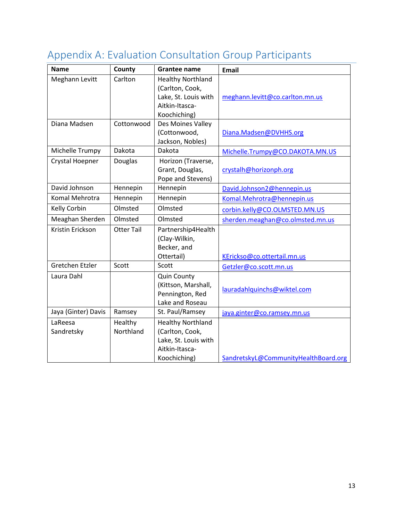| <b>Name</b>           | County               | <b>Grantee name</b>                                                                                   | <b>Email</b>                         |
|-----------------------|----------------------|-------------------------------------------------------------------------------------------------------|--------------------------------------|
| Meghann Levitt        | Carlton              | <b>Healthy Northland</b><br>(Carlton, Cook,<br>Lake, St. Louis with<br>Aitkin-Itasca-<br>Koochiching) | meghann.levitt@co.carlton.mn.us      |
| Diana Madsen          | Cottonwood           | Des Moines Valley<br>(Cottonwood,<br>Jackson, Nobles)                                                 | Diana.Madsen@DVHHS.org               |
| Michelle Trumpy       | Dakota               | Dakota                                                                                                | Michelle.Trumpy@CO.DAKOTA.MN.US      |
| Crystal Hoepner       | <b>Douglas</b>       | Horizon (Traverse,<br>Grant, Douglas,<br>Pope and Stevens)                                            | crystalh@horizonph.org               |
| David Johnson         | Hennepin             | Hennepin                                                                                              | David.Johnson2@hennepin.us           |
| Komal Mehrotra        | Hennepin             | Hennepin                                                                                              | Komal.Mehrotra@hennepin.us           |
| Kelly Corbin          | Olmsted              | Olmsted                                                                                               | corbin.kelly@CO.OLMSTED.MN.US        |
| Meaghan Sherden       | Olmsted              | Olmsted                                                                                               | sherden.meaghan@co.olmsted.mn.us     |
| Kristin Erickson      | <b>Otter Tail</b>    | Partnership4Health<br>(Clay-Wilkin,<br>Becker, and<br>Ottertail)                                      | KErickso@co.ottertail.mn.us          |
| Gretchen Etzler       | Scott                | Scott                                                                                                 | Getzler@co.scott.mn.us               |
| Laura Dahl            |                      | <b>Quin County</b><br>(Kittson, Marshall,<br>Pennington, Red<br>Lake and Roseau                       | lauradahlquinchs@wiktel.com          |
| Jaya (Ginter) Davis   | Ramsey               | St. Paul/Ramsey                                                                                       | jaya.ginter@co.ramsey.mn.us          |
| LaReesa<br>Sandretsky | Healthy<br>Northland | <b>Healthy Northland</b><br>(Carlton, Cook,<br>Lake, St. Louis with<br>Aitkin-Itasca-<br>Koochiching) | SandretskyL@CommunityHealthBoard.org |

# <span id="page-13-0"></span>Appendix A: Evaluation Consultation Group Participants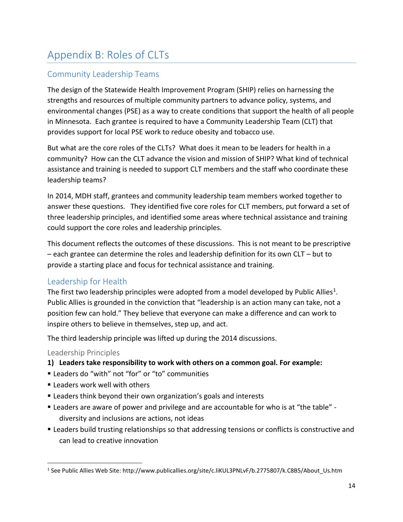# <span id="page-14-0"></span>Appendix B: Roles of CLTs

### Community Leadership Teams

The design of the Statewide Health Improvement Program (SHIP) relies on harnessing the strengths and resources of multiple community partners to advance policy, systems, and environmental changes (PSE) as a way to create conditions that support the health of all people in Minnesota. Each grantee is required to have a Community Leadership Team (CLT) that provides support for local PSE work to reduce obesity and tobacco use.

But what are the core roles of the CLTs? What does it mean to be leaders for health in a community? How can the CLT advance the vision and mission of SHIP? What kind of technical assistance and training is needed to support CLT members and the staff who coordinate these leadership teams?

In 2014, MDH staff, grantees and community leadership team members worked together to answer these questions. They identified five core roles for CLT members, put forward a set of three leadership principles, and identified some areas where technical assistance and training could support the core roles and leadership principles.

This document reflects the outcomes of these discussions. This is not meant to be prescriptive – each grantee can determine the roles and leadership definition for its own CLT – but to provide a starting place and focus for technical assistance and training.

### Leadership for Health

The first two leadership principles were adopted from a model developed by Public Allies<sup>1</sup>. Public Allies is grounded in the conviction that "leadership is an action many can take, not a position few can hold." They believe that everyone can make a difference and can work to inspire others to believe in themselves, step up, and act.

The third leadership principle was lifted up during the 2014 discussions.

#### Leadership Principles

 $\overline{a}$ 

- **1) Leaders take responsibility to work with others on a common goal. For example:**
- Leaders do "with" not "for" or "to" communities
- **Example 1** Leaders work well with others
- Leaders think beyond their own organization's goals and interests
- Leaders are aware of power and privilege and are accountable for who is at "the table" diversity and inclusions are actions, not ideas
- Leaders build trusting relationships so that addressing tensions or conflicts is constructive and can lead to creative innovation

<sup>1</sup> See Public Allies Web Site: http://www.publicallies.org/site/c.liKUL3PNLvF/b.2775807/k.C8B5/About\_Us.htm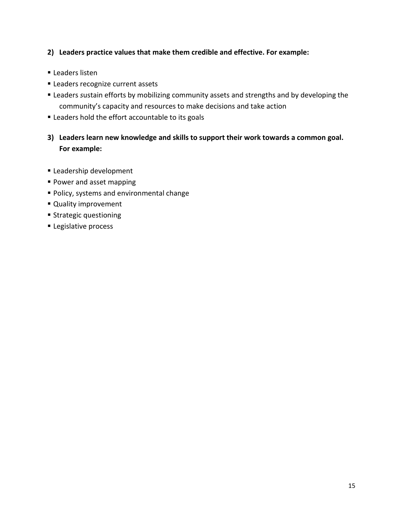#### **2) Leaders practice values that make them credible and effective. For example:**

- Leaders listen
- **ELEADERS recognize current assets**
- Leaders *s*ustain efforts by mobilizing community assets and strengths and by developing the community's capacity and resources to make decisions and take action
- **Example 1** Leaders hold the effort accountable to its goals

### **3) Leaders learn new knowledge and skills to support their work towards a common goal. For example:**

- **Leadership development**
- **Power and asset mapping**
- Policy, systems and environmental change
- **Quality improvement**
- **Strategic questioning**
- **Legislative process**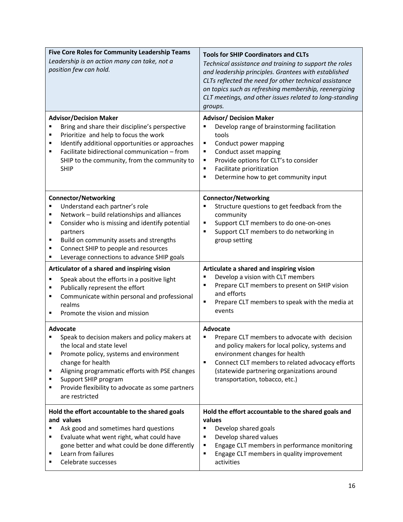| <b>Five Core Roles for Community Leadership Teams</b><br>Leadership is an action many can take, not a<br>position few can hold.                                                                                                                                                                                                   | <b>Tools for SHIP Coordinators and CLTs</b><br>Technical assistance and training to support the roles                                                                                                                                                                                                     |
|-----------------------------------------------------------------------------------------------------------------------------------------------------------------------------------------------------------------------------------------------------------------------------------------------------------------------------------|-----------------------------------------------------------------------------------------------------------------------------------------------------------------------------------------------------------------------------------------------------------------------------------------------------------|
|                                                                                                                                                                                                                                                                                                                                   | and leadership principles. Grantees with established<br>CLTs reflected the need for other technical assistance<br>on topics such as refreshing membership, reenergizing<br>CLT meetings, and other issues related to long-standing<br>groups.                                                             |
| <b>Advisor/Decision Maker</b><br>Bring and share their discipline's perspective<br>Prioritize and help to focus the work<br>п<br>Identify additional opportunities or approaches<br>٠<br>Facilitate bidirectional communication - from<br>п<br>SHIP to the community, from the community to<br><b>SHIP</b>                        | <b>Advisor/ Decision Maker</b><br>Develop range of brainstorming facilitation<br>tools<br>Conduct power mapping<br>٠<br>Conduct asset mapping<br>٠<br>Provide options for CLT's to consider<br>٠<br>Facilitate prioritization<br>$\blacksquare$<br>Determine how to get community input<br>$\blacksquare$ |
| <b>Connector/Networking</b><br>Understand each partner's role<br>Network - build relationships and alliances<br>٠<br>Consider who is missing and identify potential<br>п<br>partners<br>Build on community assets and strengths<br>٠<br>Connect SHIP to people and resources<br>п<br>Leverage connections to advance SHIP goals   | <b>Connector/Networking</b><br>Structure questions to get feedback from the<br>community<br>Support CLT members to do one-on-ones<br>٠<br>Support CLT members to do networking in<br>٠<br>group setting                                                                                                   |
| Articulator of a shared and inspiring vision<br>Speak about the efforts in a positive light<br>٠<br>Publically represent the effort<br>٠<br>Communicate within personal and professional<br>п<br>realms<br>Promote the vision and mission                                                                                         | Articulate a shared and inspiring vision<br>Develop a vision with CLT members<br>Prepare CLT members to present on SHIP vision<br>п<br>and efforts<br>Prepare CLT members to speak with the media at<br>٠<br>events                                                                                       |
| <b>Advocate</b><br>Speak to decision makers and policy makers at<br>the local and state level<br>Promote policy, systems and environment<br>п<br>change for health<br>Aligning programmatic efforts with PSE changes<br>٠<br>Support SHIP program<br>٠<br>Provide flexibility to advocate as some partners<br>п<br>are restricted | Advocate<br>Prepare CLT members to advocate with decision<br>and policy makers for local policy, systems and<br>environment changes for health<br>$\blacksquare$<br>Connect CLT members to related advocacy efforts<br>(statewide partnering organizations around<br>transportation, tobacco, etc.)       |
| Hold the effort accountable to the shared goals<br>and values<br>Ask good and sometimes hard questions<br>Evaluate what went right, what could have<br>٠<br>gone better and what could be done differently                                                                                                                        | Hold the effort accountable to the shared goals and<br>values<br>Develop shared goals<br>٠<br>Develop shared values<br>٠                                                                                                                                                                                  |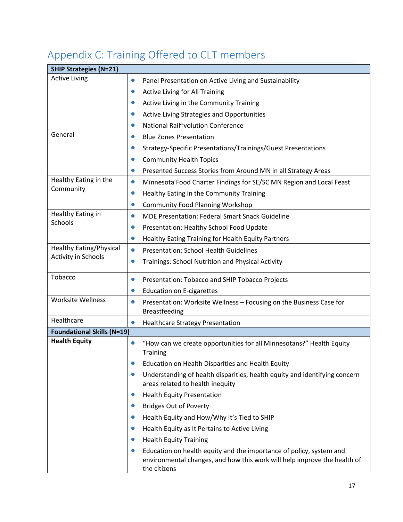| <b>SHIP Strategies (N=21)</b>     |           |                                                                                                                                                                 |
|-----------------------------------|-----------|-----------------------------------------------------------------------------------------------------------------------------------------------------------------|
| <b>Active Living</b>              | $\bullet$ | Panel Presentation on Active Living and Sustainability                                                                                                          |
|                                   |           | Active Living for All Training                                                                                                                                  |
|                                   |           | Active Living in the Community Training                                                                                                                         |
|                                   | $\bullet$ | Active Living Strategies and Opportunities                                                                                                                      |
|                                   |           | National Rail~volution Conference                                                                                                                               |
| General                           | $\bullet$ | <b>Blue Zones Presentation</b>                                                                                                                                  |
|                                   | $\bullet$ | Strategy-Specific Presentations/Trainings/Guest Presentations                                                                                                   |
|                                   |           | <b>Community Health Topics</b>                                                                                                                                  |
|                                   | $\bullet$ | Presented Success Stories from Around MN in all Strategy Areas                                                                                                  |
| Healthy Eating in the             | $\bullet$ | Minnesota Food Charter Findings for SE/SC MN Region and Local Feast                                                                                             |
| Community                         | $\bullet$ | Healthy Eating in the Community Training                                                                                                                        |
|                                   | $\bullet$ | <b>Community Food Planning Workshop</b>                                                                                                                         |
| Healthy Eating in                 | $\bullet$ | <b>MDE Presentation: Federal Smart Snack Guideline</b>                                                                                                          |
| <b>Schools</b>                    | $\bullet$ | Presentation: Healthy School Food Update                                                                                                                        |
|                                   | $\bullet$ | Healthy Eating Training for Health Equity Partners                                                                                                              |
| <b>Healthy Eating/Physical</b>    | $\bullet$ | <b>Presentation: School Health Guidelines</b>                                                                                                                   |
| <b>Activity in Schools</b>        | $\bullet$ | Trainings: School Nutrition and Physical Activity                                                                                                               |
| Tobacco                           | $\bullet$ | Presentation: Tobacco and SHIP Tobacco Projects                                                                                                                 |
|                                   | $\bullet$ | <b>Education on E-cigarettes</b>                                                                                                                                |
| <b>Worksite Wellness</b>          | $\bullet$ | Presentation: Worksite Wellness - Focusing on the Business Case for<br><b>Breastfeeding</b>                                                                     |
| Healthcare                        | $\bullet$ | <b>Healthcare Strategy Presentation</b>                                                                                                                         |
| <b>Foundational Skills (N=19)</b> |           |                                                                                                                                                                 |
| <b>Health Equity</b>              |           | "How can we create opportunities for all Minnesotans?" Health Equity<br><b>Training</b>                                                                         |
|                                   |           | Education on Health Disparities and Health Equity                                                                                                               |
|                                   |           | Understanding of health disparities, health equity and identifying concern<br>areas related to health inequity                                                  |
|                                   | $\bullet$ | <b>Health Equity Presentation</b>                                                                                                                               |
|                                   | $\bullet$ | <b>Bridges Out of Poverty</b>                                                                                                                                   |
|                                   | $\bullet$ | Health Equity and How/Why It's Tied to SHIP                                                                                                                     |
|                                   | $\bullet$ | Health Equity as It Pertains to Active Living                                                                                                                   |
|                                   |           | <b>Health Equity Training</b>                                                                                                                                   |
|                                   |           | Education on health equity and the importance of policy, system and<br>environmental changes, and how this work will help improve the health of<br>the citizens |

# <span id="page-17-0"></span>Appendix C: Training Offered to CLT members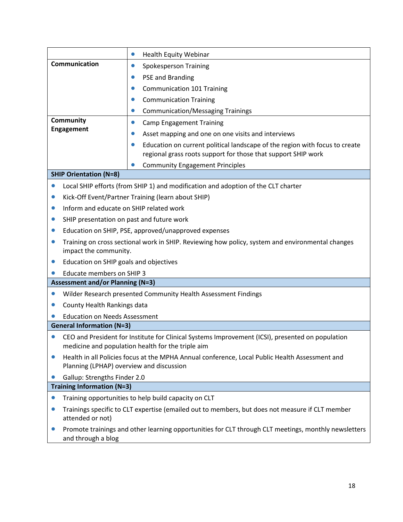|                                                      | <b>Health Equity Webinar</b><br>$\bullet$                                                                                                             |  |  |
|------------------------------------------------------|-------------------------------------------------------------------------------------------------------------------------------------------------------|--|--|
| Communication                                        | <b>Spokesperson Training</b><br>$\bullet$                                                                                                             |  |  |
|                                                      | <b>PSE and Branding</b>                                                                                                                               |  |  |
|                                                      | <b>Communication 101 Training</b><br>$\bullet$                                                                                                        |  |  |
|                                                      | <b>Communication Training</b><br>$\bullet$                                                                                                            |  |  |
|                                                      | <b>Communication/Messaging Trainings</b><br>$\bullet$                                                                                                 |  |  |
| <b>Community</b>                                     | <b>Camp Engagement Training</b><br>$\bullet$                                                                                                          |  |  |
| <b>Engagement</b>                                    | Asset mapping and one on one visits and interviews<br>$\bullet$                                                                                       |  |  |
|                                                      | Education on current political landscape of the region with focus to create<br>regional grass roots support for those that support SHIP work          |  |  |
|                                                      | <b>Community Engagement Principles</b>                                                                                                                |  |  |
| <b>SHIP Orientation (N=8)</b>                        |                                                                                                                                                       |  |  |
| $\bullet$                                            | Local SHIP efforts (from SHIP 1) and modification and adoption of the CLT charter                                                                     |  |  |
| $\bullet$                                            | Kick-Off Event/Partner Training (learn about SHIP)                                                                                                    |  |  |
| Inform and educate on SHIP related work<br>$\bullet$ |                                                                                                                                                       |  |  |
| SHIP presentation on past and future work<br>0       |                                                                                                                                                       |  |  |
| 0                                                    | Education on SHIP, PSE, approved/unapproved expenses                                                                                                  |  |  |
| $\bullet$<br>impact the community.                   | Training on cross sectional work in SHIP. Reviewing how policy, system and environmental changes                                                      |  |  |
| Education on SHIP goals and objectives<br>0          |                                                                                                                                                       |  |  |
| <b>Educate members on SHIP 3</b>                     |                                                                                                                                                       |  |  |
| <b>Assessment and/or Planning (N=3)</b>              |                                                                                                                                                       |  |  |
|                                                      | Wilder Research presented Community Health Assessment Findings                                                                                        |  |  |
| County Health Rankings data                          |                                                                                                                                                       |  |  |
| <b>Education on Needs Assessment</b>                 |                                                                                                                                                       |  |  |
| <b>General Information (N=3)</b>                     |                                                                                                                                                       |  |  |
|                                                      | CEO and President for Institute for Clinical Systems Improvement (ICSI), presented on population<br>medicine and population health for the triple aim |  |  |
| $\bullet$                                            | Health in all Policies focus at the MPHA Annual conference, Local Public Health Assessment and<br>Planning (LPHAP) overview and discussion            |  |  |
| Gallup: Strengths Finder 2.0                         |                                                                                                                                                       |  |  |
| <b>Training Information (N=3)</b>                    |                                                                                                                                                       |  |  |
| $\bullet$                                            | Training opportunities to help build capacity on CLT                                                                                                  |  |  |
| attended or not)                                     | Trainings specific to CLT expertise (emailed out to members, but does not measure if CLT member                                                       |  |  |
| $\bullet$<br>and through a blog                      | Promote trainings and other learning opportunities for CLT through CLT meetings, monthly newsletters                                                  |  |  |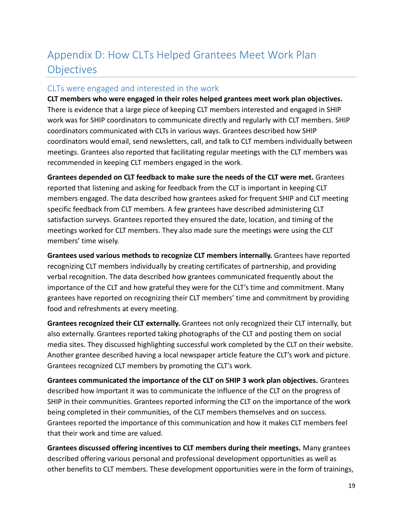# <span id="page-19-0"></span>Appendix D: How CLTs Helped Grantees Meet Work Plan **Objectives**

#### CLTs were engaged and interested in the work

**CLT members who were engaged in their roles helped grantees meet work plan objectives.** There is evidence that a large piece of keeping CLT members interested and engaged in SHIP work was for SHIP coordinators to communicate directly and regularly with CLT members. SHIP coordinators communicated with CLTs in various ways. Grantees described how SHIP coordinators would email, send newsletters, call, and talk to CLT members individually between meetings. Grantees also reported that facilitating regular meetings with the CLT members was recommended in keeping CLT members engaged in the work.

**Grantees depended on CLT feedback to make sure the needs of the CLT were met.** Grantees reported that listening and asking for feedback from the CLT is important in keeping CLT members engaged. The data described how grantees asked for frequent SHIP and CLT meeting specific feedback from CLT members. A few grantees have described administering CLT satisfaction surveys. Grantees reported they ensured the date, location, and timing of the meetings worked for CLT members. They also made sure the meetings were using the CLT members' time wisely.

**Grantees used various methods to recognize CLT members internally.** Grantees have reported recognizing CLT members individually by creating certificates of partnership, and providing verbal recognition. The data described how grantees communicated frequently about the importance of the CLT and how grateful they were for the CLT's time and commitment. Many grantees have reported on recognizing their CLT members' time and commitment by providing food and refreshments at every meeting.

**Grantees recognized their CLT externally.** Grantees not only recognized their CLT internally, but also externally. Grantees reported taking photographs of the CLT and posting them on social media sites. They discussed highlighting successful work completed by the CLT on their website. Another grantee described having a local newspaper article feature the CLT's work and picture. Grantees recognized CLT members by promoting the CLT's work.

**Grantees communicated the importance of the CLT on SHIP 3 work plan objectives.** Grantees described how important it was to communicate the influence of the CLT on the progress of SHIP in their communities. Grantees reported informing the CLT on the importance of the work being completed in their communities, of the CLT members themselves and on success. Grantees reported the importance of this communication and how it makes CLT members feel that their work and time are valued.

**Grantees discussed offering incentives to CLT members during their meetings.** Many grantees described offering various personal and professional development opportunities as well as other benefits to CLT members. These development opportunities were in the form of trainings,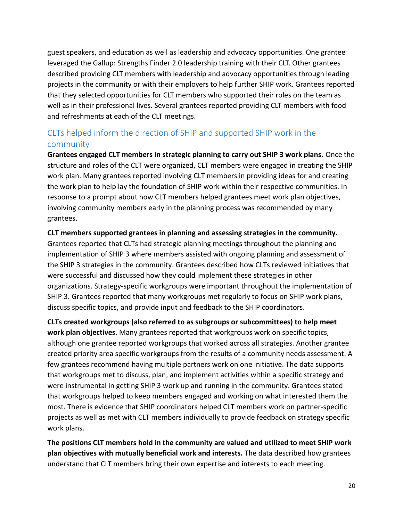guest speakers, and education as well as leadership and advocacy opportunities. One grantee leveraged the Gallup: Strengths Finder 2.0 leadership training with their CLT. Other grantees described providing CLT members with leadership and advocacy opportunities through leading projects in the community or with their employers to help further SHIP work. Grantees reported that they selected opportunities for CLT members who supported their roles on the team as well as in their professional lives. Several grantees reported providing CLT members with food and refreshments at each of the CLT meetings.

## CLTs helped inform the direction of SHIP and supported SHIP work in the community

**Grantees engaged CLT members in strategic planning to carry out SHIP 3 work plans.** Once the structure and roles of the CLT were organized, CLT members were engaged in creating the SHIP work plan. Many grantees reported involving CLT members in providing ideas for and creating the work plan to help lay the foundation of SHIP work within their respective communities. In response to a prompt about how CLT members helped grantees meet work plan objectives, involving community members early in the planning process was recommended by many grantees.

#### **CLT members supported grantees in planning and assessing strategies in the community.**

Grantees reported that CLTs had strategic planning meetings throughout the planning and implementation of SHIP 3 where members assisted with ongoing planning and assessment of the SHIP 3 strategies in the community. Grantees described how CLTs reviewed initiatives that were successful and discussed how they could implement these strategies in other organizations. Strategy-specific workgroups were important throughout the implementation of SHIP 3. Grantees reported that many workgroups met regularly to focus on SHIP work plans, discuss specific topics, and provide input and feedback to the SHIP coordinators.

**CLTs created workgroups (also referred to as subgroups or subcommittees) to help meet work plan objectives**. Many grantees reported that workgroups work on specific topics, although one grantee reported workgroups that worked across all strategies. Another grantee created priority area specific workgroups from the results of a community needs assessment. A few grantees recommend having multiple partners work on one initiative. The data supports that workgroups met to discuss, plan, and implement activities within a specific strategy and were instrumental in getting SHIP 3 work up and running in the community. Grantees stated that workgroups helped to keep members engaged and working on what interested them the most. There is evidence that SHIP coordinators helped CLT members work on partner-specific projects as well as met with CLT members individually to provide feedback on strategy specific work plans.

**The positions CLT members hold in the community are valued and utilized to meet SHIP work plan objectives with mutually beneficial work and interests.** The data described how grantees understand that CLT members bring their own expertise and interests to each meeting.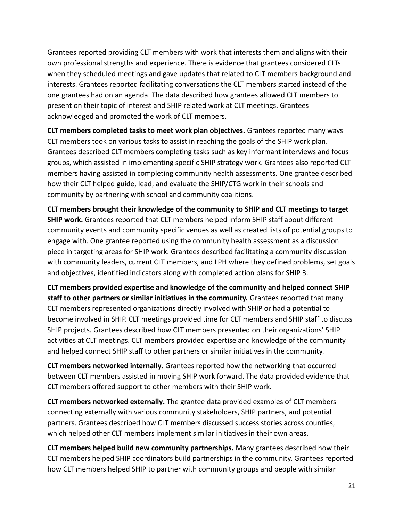Grantees reported providing CLT members with work that interests them and aligns with their own professional strengths and experience. There is evidence that grantees considered CLTs when they scheduled meetings and gave updates that related to CLT members background and interests. Grantees reported facilitating conversations the CLT members started instead of the one grantees had on an agenda. The data described how grantees allowed CLT members to present on their topic of interest and SHIP related work at CLT meetings. Grantees acknowledged and promoted the work of CLT members.

**CLT members completed tasks to meet work plan objectives.** Grantees reported many ways CLT members took on various tasks to assist in reaching the goals of the SHIP work plan. Grantees described CLT members completing tasks such as key informant interviews and focus groups, which assisted in implementing specific SHIP strategy work. Grantees also reported CLT members having assisted in completing community health assessments. One grantee described how their CLT helped guide, lead, and evaluate the SHIP/CTG work in their schools and community by partnering with school and community coalitions.

**CLT members brought their knowledge of the community to SHIP and CLT meetings to target SHIP work.** Grantees reported that CLT members helped inform SHIP staff about different community events and community specific venues as well as created lists of potential groups to engage with. One grantee reported using the community health assessment as a discussion piece in targeting areas for SHIP work. Grantees described facilitating a community discussion with community leaders, current CLT members, and LPH where they defined problems, set goals and objectives, identified indicators along with completed action plans for SHIP 3.

**CLT members provided expertise and knowledge of the community and helped connect SHIP staff to other partners or similar initiatives in the community.** Grantees reported that many CLT members represented organizations directly involved with SHIP or had a potential to become involved in SHIP. CLT meetings provided time for CLT members and SHIP staff to discuss SHIP projects. Grantees described how CLT members presented on their organizations' SHIP activities at CLT meetings. CLT members provided expertise and knowledge of the community and helped connect SHIP staff to other partners or similar initiatives in the community.

**CLT members networked internally.** Grantees reported how the networking that occurred between CLT members assisted in moving SHIP work forward. The data provided evidence that CLT members offered support to other members with their SHIP work.

**CLT members networked externally.** The grantee data provided examples of CLT members connecting externally with various community stakeholders, SHIP partners, and potential partners. Grantees described how CLT members discussed success stories across counties, which helped other CLT members implement similar initiatives in their own areas.

**CLT members helped build new community partnerships.** Many grantees described how their CLT members helped SHIP coordinators build partnerships in the community. Grantees reported how CLT members helped SHIP to partner with community groups and people with similar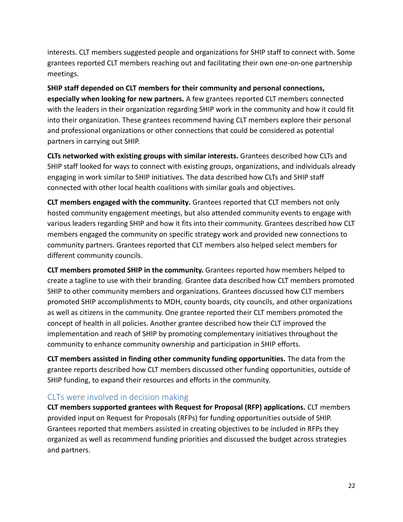interests. CLT members suggested people and organizations for SHIP staff to connect with. Some grantees reported CLT members reaching out and facilitating their own one-on-one partnership meetings.

**SHIP staff depended on CLT members for their community and personal connections, especially when looking for new partners.** A few grantees reported CLT members connected with the leaders in their organization regarding SHIP work in the community and how it could fit into their organization. These grantees recommend having CLT members explore their personal and professional organizations or other connections that could be considered as potential partners in carrying out SHIP.

**CLTs networked with existing groups with similar interests.** Grantees described how CLTs and SHIP staff looked for ways to connect with existing groups, organizations, and individuals already engaging in work similar to SHIP initiatives. The data described how CLTs and SHIP staff connected with other local health coalitions with similar goals and objectives.

**CLT members engaged with the community.** Grantees reported that CLT members not only hosted community engagement meetings, but also attended community events to engage with various leaders regarding SHIP and how it fits into their community. Grantees described how CLT members engaged the community on specific strategy work and provided new connections to community partners. Grantees reported that CLT members also helped select members for different community councils.

**CLT members promoted SHIP in the community.** Grantees reported how members helped to create a tagline to use with their branding. Grantee data described how CLT members promoted SHIP to other community members and organizations. Grantees discussed how CLT members promoted SHIP accomplishments to MDH, county boards, city councils, and other organizations as well as citizens in the community. One grantee reported their CLT members promoted the concept of health in all policies. Another grantee described how their CLT improved the implementation and reach of SHIP by promoting complementary initiatives throughout the community to enhance community ownership and participation in SHIP efforts.

**CLT members assisted in finding other community funding opportunities.** The data from the grantee reports described how CLT members discussed other funding opportunities, outside of SHIP funding, to expand their resources and efforts in the community.

### CLTs were involved in decision making

**CLT members supported grantees with Request for Proposal (RFP) applications.** CLT members provided input on Request for Proposals (RFPs) for funding opportunities outside of SHIP. Grantees reported that members assisted in creating objectives to be included in RFPs they organized as well as recommend funding priorities and discussed the budget across strategies and partners.